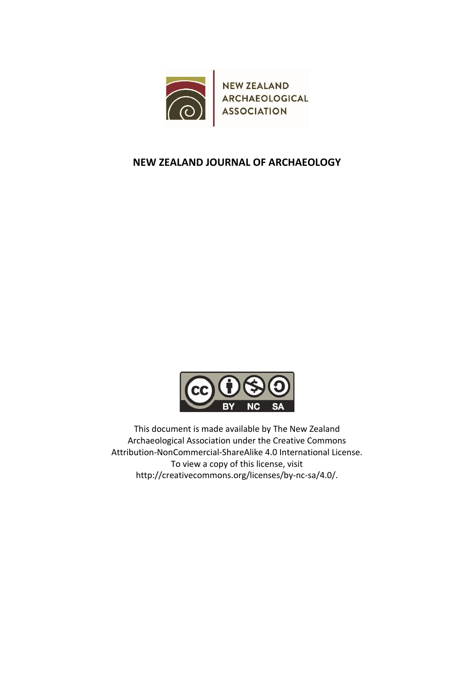



This document is made available by The New Zealand Archaeological Association under the Creative Commons Attribution‐NonCommercial‐ShareAlike 4.0 International License. To view a copy of this license, visit http://creativecommons.org/licenses/by‐nc‐sa/4.0/.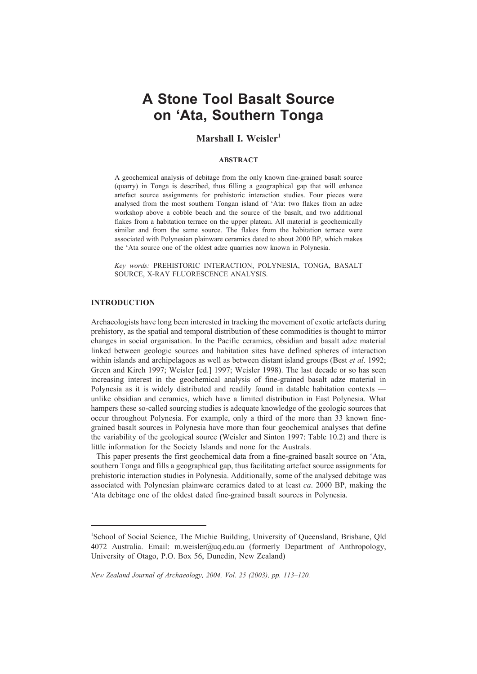# **A Stone Tool Basalt Source on 'Ata, Southern Tonga**

# **Marshall I. Weisler1**

# **ABSTRACT**

A geochemical analysis of debitage from the only known fine-grained basalt source (quarry) in Tonga is described, thus filling a geographical gap that will enhance artefact source assignments for prehistoric interaction studies. Four pieces were analysed from the most southern Tongan island of 'Ata: two flakes from an adze workshop above a cobble beach and the source of the basalt, and two additional flakes from a habitation terrace on the upper plateau. All material is geochemically similar and from the same source. The flakes from the habitation terrace were associated with Polynesian plainware ceramics dated to about 2000 BP, which makes the 'Ata source one of the oldest adze quarries now known in Polynesia.

*Key words:* PREHISTORIC INTERACTION, POLYNESIA, TONGA, BASALT SOURCE, X-RAY FLUORESCENCE ANALYSIS.

# **INTRODUCTION**

Archaeologists have long been interested in tracking the movement of exotic artefacts during prehistory, as the spatial and temporal distribution of these commodities is thought to mirror changes in social organisation. In the Pacific ceramics, obsidian and basalt adze material linked between geologic sources and habitation sites have defined spheres of interaction within islands and archipelagoes as well as between distant island groups (Best *et al*. 1992; Green and Kirch 1997; Weisler [ed.] 1997; Weisler 1998). The last decade or so has seen increasing interest in the geochemical analysis of fine-grained basalt adze material in Polynesia as it is widely distributed and readily found in datable habitation contexts unlike obsidian and ceramics, which have a limited distribution in East Polynesia. What hampers these so-called sourcing studies is adequate knowledge of the geologic sources that occur throughout Polynesia. For example, only a third of the more than 33 known finegrained basalt sources in Polynesia have more than four geochemical analyses that define the variability of the geological source (Weisler and Sinton 1997: Table 10.2) and there is little information for the Society Islands and none for the Australs.

This paper presents the first geochemical data from a fine-grained basalt source on 'Ata, southern Tonga and fills a geographical gap, thus facilitating artefact source assignments for prehistoric interaction studies in Polynesia. Additionally, some of the analysed debitage was associated with Polynesian plainware ceramics dated to at least *ca*. 2000 BP, making the 'Ata debitage one of the oldest dated fine-grained basalt sources in Polynesia.

<sup>&</sup>lt;sup>1</sup>School of Social Science, The Michie Building, University of Queensland, Brisbane, Qld 4072 Australia. Email: m.weisler@uq.edu.au (formerly Department of Anthropology, University of Otago, P.O. Box 56, Dunedin, New Zealand)

*New Zealand Journal of Archaeology, 2004, Vol. 25 (2003), pp. 113–120.*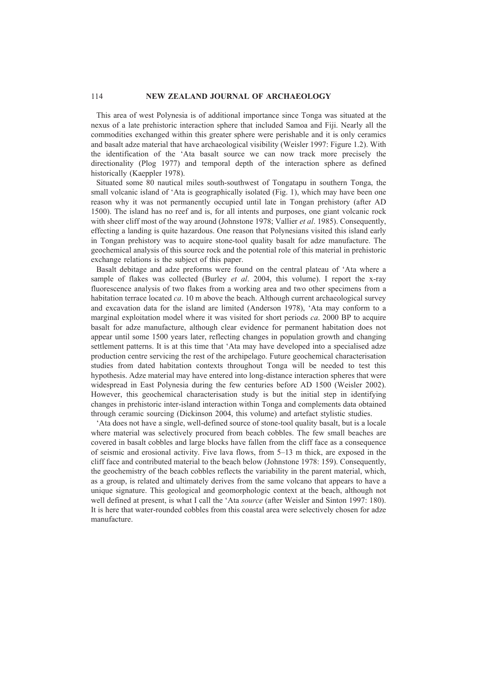This area of west Polynesia is of additional importance since Tonga was situated at the nexus of a late prehistoric interaction sphere that included Samoa and Fiji. Nearly all the commodities exchanged within this greater sphere were perishable and it is only ceramics and basalt adze material that have archaeological visibility (Weisler 1997: Figure 1.2). With the identification of the 'Ata basalt source we can now track more precisely the directionality (Plog 1977) and temporal depth of the interaction sphere as defined historically (Kaeppler 1978).

Situated some 80 nautical miles south-southwest of Tongatapu in southern Tonga, the small volcanic island of 'Ata is geographically isolated (Fig. 1), which may have been one reason why it was not permanently occupied until late in Tongan prehistory (after AD 1500). The island has no reef and is, for all intents and purposes, one giant volcanic rock with sheer cliff most of the way around (Johnstone 1978; Vallier *et al*. 1985). Consequently, effecting a landing is quite hazardous. One reason that Polynesians visited this island early in Tongan prehistory was to acquire stone-tool quality basalt for adze manufacture. The geochemical analysis of this source rock and the potential role of this material in prehistoric exchange relations is the subject of this paper.

Basalt debitage and adze preforms were found on the central plateau of 'Ata where a sample of flakes was collected (Burley *et al*. 2004, this volume). I report the x-ray fluorescence analysis of two flakes from a working area and two other specimens from a habitation terrace located *ca*. 10 m above the beach. Although current archaeological survey and excavation data for the island are limited (Anderson 1978), 'Ata may conform to a marginal exploitation model where it was visited for short periods *ca*. 2000 BP to acquire basalt for adze manufacture, although clear evidence for permanent habitation does not appear until some 1500 years later, reflecting changes in population growth and changing settlement patterns. It is at this time that 'Ata may have developed into a specialised adze production centre servicing the rest of the archipelago. Future geochemical characterisation studies from dated habitation contexts throughout Tonga will be needed to test this hypothesis. Adze material may have entered into long-distance interaction spheres that were widespread in East Polynesia during the few centuries before AD 1500 (Weisler 2002). However, this geochemical characterisation study is but the initial step in identifying changes in prehistoric inter-island interaction within Tonga and complements data obtained through ceramic sourcing (Dickinson 2004, this volume) and artefact stylistic studies.

'Ata does not have a single, well-defined source of stone-tool quality basalt, but is a locale where material was selectively procured from beach cobbles. The few small beaches are covered in basalt cobbles and large blocks have fallen from the cliff face as a consequence of seismic and erosional activity. Five lava flows, from 5–13 m thick, are exposed in the cliff face and contributed material to the beach below (Johnstone 1978: 159). Consequently, the geochemistry of the beach cobbles reflects the variability in the parent material, which, as a group, is related and ultimately derives from the same volcano that appears to have a unique signature. This geological and geomorphologic context at the beach, although not well defined at present, is what I call the 'Ata *source* (after Weisler and Sinton 1997: 180). It is here that water-rounded cobbles from this coastal area were selectively chosen for adze manufacture.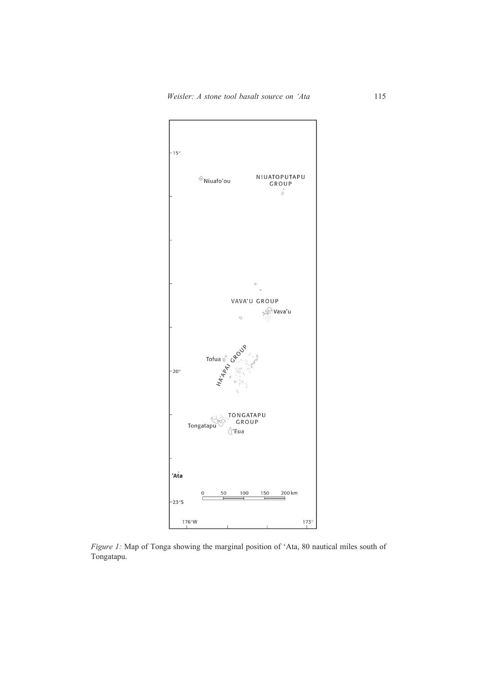

*Figure 1:* Map of Tonga showing the marginal position of 'Ata, 80 nautical miles south of Tongatapu.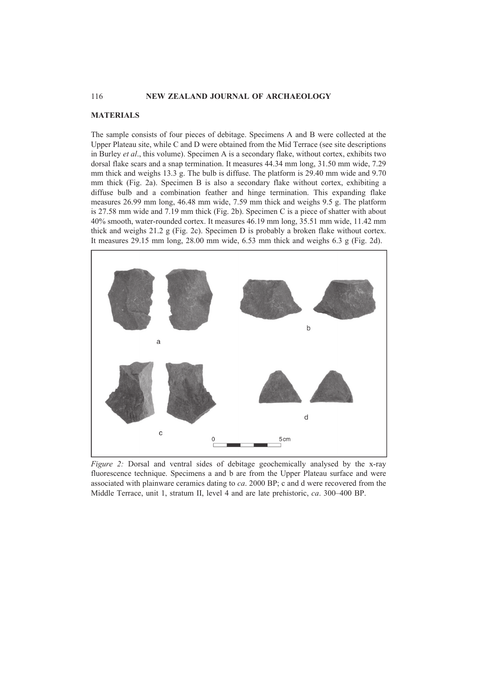## **MATERIALS**

The sample consists of four pieces of debitage. Specimens A and B were collected at the Upper Plateau site, while C and D were obtained from the Mid Terrace (see site descriptions in Burley *et al*., this volume). Specimen A is a secondary flake, without cortex, exhibits two dorsal flake scars and a snap termination. It measures 44.34 mm long, 31.50 mm wide, 7.29 mm thick and weighs 13.3 g. The bulb is diffuse. The platform is 29.40 mm wide and 9.70 mm thick (Fig. 2a). Specimen B is also a secondary flake without cortex, exhibiting a diffuse bulb and a combination feather and hinge termination. This expanding flake measures 26.99 mm long, 46.48 mm wide, 7.59 mm thick and weighs 9.5 g. The platform is 27.58 mm wide and 7.19 mm thick (Fig. 2b). Specimen C is a piece of shatter with about 40% smooth, water-rounded cortex. It measures 46.19 mm long, 35.51 mm wide, 11.42 mm thick and weighs  $21.2$  g (Fig. 2c). Specimen D is probably a broken flake without cortex. It measures 29.15 mm long, 28.00 mm wide, 6.53 mm thick and weighs 6.3 g (Fig. 2d).



*Figure 2:* Dorsal and ventral sides of debitage geochemically analysed by the x-ray fluorescence technique. Specimens a and b are from the Upper Plateau surface and were associated with plainware ceramics dating to *ca*. 2000 BP; c and d were recovered from the Middle Terrace, unit 1, stratum II, level 4 and are late prehistoric, *ca*. 300–400 BP.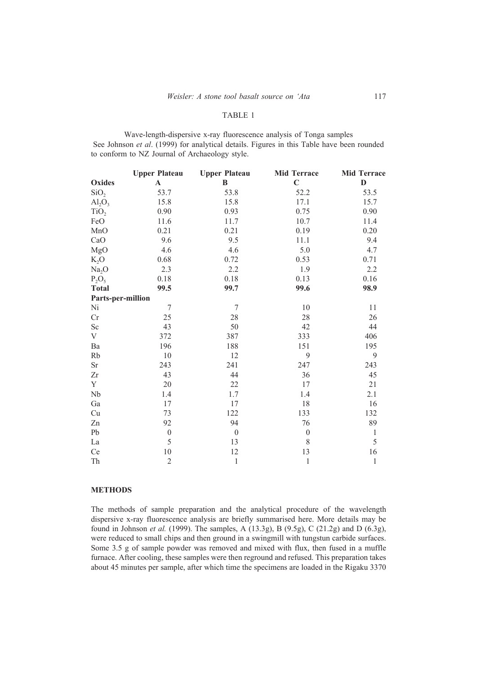#### TABLE 1

Wave-length-dispersive x-ray fluorescence analysis of Tonga samples See Johnson *et al.* (1999) for analytical details. Figures in this Table have been rounded to conform to NZ Journal of Archaeology style.

|                         | <b>Upper Plateau</b> | <b>Upper Plateau</b> | <b>Mid Terrace</b> | <b>Mid Terrace</b> |
|-------------------------|----------------------|----------------------|--------------------|--------------------|
| <b>Oxides</b>           | $\mathbf A$          | $\, {\bf B}$         | $\mathbf C$        | $\mathbf{D}$       |
| SiO <sub>2</sub>        | 53.7                 | 53.8                 | 52.2               | 53.5               |
| $\text{Al}_2\text{O}_3$ | 15.8                 | 15.8                 | 17.1               | 15.7               |
| TiO <sub>2</sub>        | 0.90                 | 0.93                 | 0.75               | 0.90               |
| FeO                     | 11.6                 | 11.7                 | 10.7               | 11.4               |
| MnO                     | 0.21                 | 0.21                 | 0.19               | 0.20               |
| CaO                     | 9.6                  | 9.5                  | 11.1               | 9.4                |
| MgO                     | 4.6                  | 4.6                  | 5.0                | 4.7                |
| $K_2O$                  | 0.68                 | 0.72                 | 0.53               | 0.71               |
| Na <sub>2</sub> O       | 2.3                  | 2.2                  | 1.9                | 2.2                |
| $P_2O_5$                | 0.18                 | 0.18                 | 0.13               | 0.16               |
| <b>Total</b>            | 99.5                 | 99.7                 | 99.6               | 98.9               |
| Parts-per-million       |                      |                      |                    |                    |
| Ni                      | $\tau$               | $\overline{7}$       | 10                 | 11                 |
| Cr                      | 25                   | 28                   | 28                 | 26                 |
| Sc                      | 43                   | 50                   | 42                 | 44                 |
| V                       | 372                  | 387                  | 333                | 406                |
| Ba                      | 196                  | 188                  | 151                | 195                |
| Rb                      | 10                   | 12                   | 9                  | 9                  |
| <b>Sr</b>               | 243                  | 241                  | 247                | 243                |
| Zr                      | 43                   | 44                   | 36                 | 45                 |
| Y                       | 20                   | 22                   | 17                 | 21                 |
| Nb                      | 1.4                  | 1.7                  | 1.4                | 2.1                |
| Ga                      | 17                   | 17                   | 18                 | 16                 |
| Cu                      | 73                   | 122                  | 133                | 132                |
| Zn                      | 92                   | 94                   | 76                 | 89                 |
| Pb                      | $\boldsymbol{0}$     | $\boldsymbol{0}$     | $\boldsymbol{0}$   | $\,1$              |
| La                      | 5                    | 13                   | $8\,$              | 5                  |
| Ce                      | $10\,$               | 12                   | 13                 | 16                 |
| Th                      | $\overline{c}$       | $\,1$                | $\,1$              | $\,1$              |

# **METHODS**

The methods of sample preparation and the analytical procedure of the wavelength dispersive x-ray fluorescence analysis are briefly summarised here. More details may be found in Johnson *et al.* (1999). The samples, A (13.3g), B (9.5g), C (21.2g) and D (6.3g), were reduced to small chips and then ground in a swingmill with tungstun carbide surfaces. Some 3.5 g of sample powder was removed and mixed with flux, then fused in a muffle furnace. After cooling, these samples were then reground and refused. This preparation takes about 45 minutes per sample, after which time the specimens are loaded in the Rigaku 3370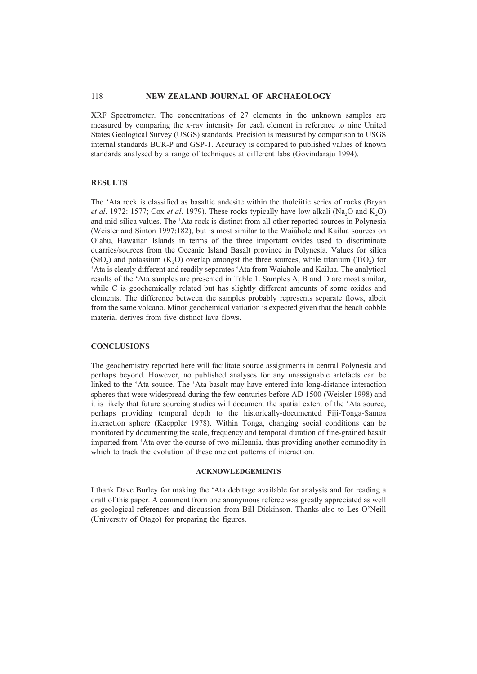XRF Spectrometer. The concentrations of 27 elements in the unknown samples are measured by comparing the x-ray intensity for each element in reference to nine United States Geological Survey (USGS) standards. Precision is measured by comparison to USGS internal standards BCR-P and GSP-1. Accuracy is compared to published values of known standards analysed by a range of techniques at different labs (Govindaraju 1994).

# **RESULTS**

The 'Ata rock is classified as basaltic andesite within the tholeiitic series of rocks (Bryan *et al.* 1972: 1577; Cox *et al.* 1979). These rocks typically have low alkali (Na<sub>2</sub>O and K<sub>2</sub>O) and mid-silica values. The 'Ata rock is distinct from all other reported sources in Polynesia (Weisler and Sinton 1997:182), but is most similar to the Waiahole and Kailua sources on O'ahu, Hawaiian Islands in terms of the three important oxides used to discriminate quarries/sources from the Oceanic Island Basalt province in Polynesia. Values for silica  $(SiO<sub>2</sub>)$  and potassium  $(K<sub>2</sub>O)$  overlap amongst the three sources, while titanium (TiO<sub>2</sub>) for 'Ata is clearly different and readily separates 'Ata from Waiahole and Kailua. The analytical results of the 'Ata samples are presented in Table 1. Samples A, B and D are most similar, while C is geochemically related but has slightly different amounts of some oxides and elements. The difference between the samples probably represents separate flows, albeit from the same volcano. Minor geochemical variation is expected given that the beach cobble material derives from five distinct lava flows.

## **CONCLUSIONS**

The geochemistry reported here will facilitate source assignments in central Polynesia and perhaps beyond. However, no published analyses for any unassignable artefacts can be linked to the 'Ata source. The 'Ata basalt may have entered into long-distance interaction spheres that were widespread during the few centuries before AD 1500 (Weisler 1998) and it is likely that future sourcing studies will document the spatial extent of the 'Ata source, perhaps providing temporal depth to the historically-documented Fiji-Tonga-Samoa interaction sphere (Kaeppler 1978). Within Tonga, changing social conditions can be monitored by documenting the scale, frequency and temporal duration of fine-grained basalt imported from 'Ata over the course of two millennia, thus providing another commodity in which to track the evolution of these ancient patterns of interaction.

#### **ACKNOWLEDGEMENTS**

I thank Dave Burley for making the 'Ata debitage available for analysis and for reading a draft of this paper. A comment from one anonymous referee was greatly appreciated as well as geological references and discussion from Bill Dickinson. Thanks also to Les O'Neill (University of Otago) for preparing the figures.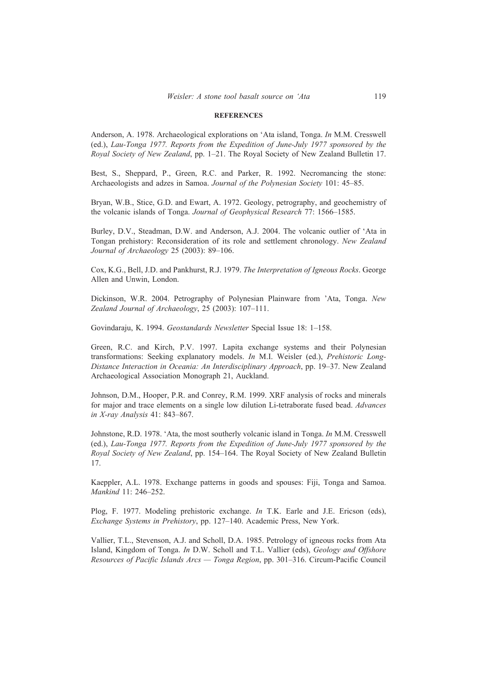#### **REFERENCES**

Anderson, A. 1978. Archaeological explorations on 'Ata island, Tonga. *In* M.M. Cresswell (ed.), *Lau-Tonga 1977. Reports from the Expedition of June-July 1977 sponsored by the Royal Society of New Zealand*, pp. 1–21. The Royal Society of New Zealand Bulletin 17.

Best, S., Sheppard, P., Green, R.C. and Parker, R. 1992. Necromancing the stone: Archaeologists and adzes in Samoa. *Journal of the Polynesian Society* 101: 45–85.

Bryan, W.B., Stice, G.D. and Ewart, A. 1972. Geology, petrography, and geochemistry of the volcanic islands of Tonga. *Journal of Geophysical Research* 77: 1566–1585.

Burley, D.V., Steadman, D.W. and Anderson, A.J. 2004. The volcanic outlier of 'Ata in Tongan prehistory: Reconsideration of its role and settlement chronology. *New Zealand Journal of Archaeology* 25 (2003): 89–106.

Cox, K.G., Bell, J.D. and Pankhurst, R.J. 1979. *The Interpretation of Igneous Rocks*. George Allen and Unwin, London.

Dickinson, W.R. 2004. Petrography of Polynesian Plainware from 'Ata, Tonga. *New Zealand Journal of Archaeology*, 25 (2003): 107–111.

Govindaraju, K. 1994. *Geostandards Newsletter* Special Issue 18: 1–158.

Green, R.C. and Kirch, P.V. 1997. Lapita exchange systems and their Polynesian transformations: Seeking explanatory models. *In* M.I. Weisler (ed.), *Prehistoric Long-Distance Interaction in Oceania: An Interdisciplinary Approach*, pp. 19–37. New Zealand Archaeological Association Monograph 21, Auckland.

Johnson, D.M., Hooper, P.R. and Conrey, R.M. 1999. XRF analysis of rocks and minerals for major and trace elements on a single low dilution Li-tetraborate fused bead. *Advances in X-ray Analysis* 41: 843–867.

Johnstone, R.D. 1978. 'Ata, the most southerly volcanic island in Tonga. *In* M.M. Cresswell (ed.), *Lau-Tonga 1977. Reports from the Expedition of June-July 1977 sponsored by the Royal Society of New Zealand*, pp. 154–164. The Royal Society of New Zealand Bulletin 17.

Kaeppler, A.L. 1978. Exchange patterns in goods and spouses: Fiji, Tonga and Samoa. *Mankind* 11: 246–252.

Plog, F. 1977. Modeling prehistoric exchange. *In* T.K. Earle and J.E. Ericson (eds), *Exchange Systems in Prehistory*, pp. 127–140. Academic Press, New York.

Vallier, T.L., Stevenson, A.J. and Scholl, D.A. 1985. Petrology of igneous rocks from Ata Island, Kingdom of Tonga. *In* D.W. Scholl and T.L. Vallier (eds), *Geology and Offshore Resources of Pacific Islands Arcs — Tonga Region*, pp. 301–316. Circum-Pacific Council